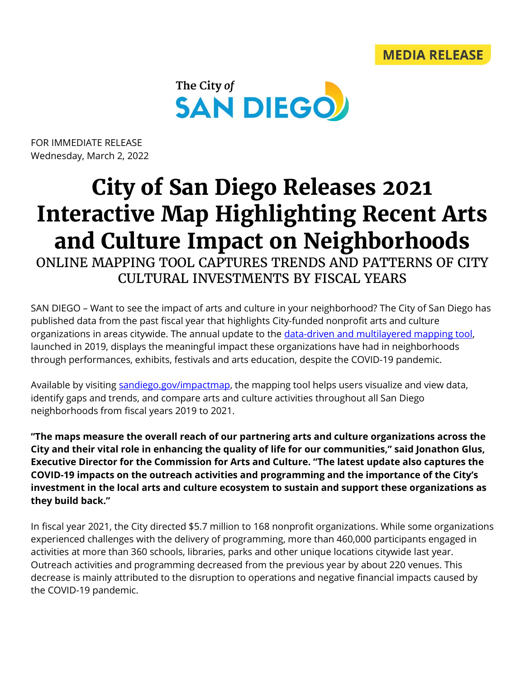

FOR IMMEDIATE RELEASE Wednesday, March 2, 2022

## **City of San Diego Releases 2021 Interactive Map Highlighting Recent Arts and Culture Impact on Neighborhoods**

ONLINE MAPPING TOOL CAPTURES TRENDS AND PATTERNS OF CITY CULTURAL INVESTMENTS BY FISCAL YEARS

SAN DIEGO – Want to see the impact of arts and culture in your neighborhood? The City of San Diego has published data from the past fiscal year that highlights City-funded nonprofit arts and culture organizations in areas citywide. The annual update to the *data-driven and multilayered mapping tool*, launched in 2019, displays the meaningful impact these organizations have had in neighborhoods through performances, exhibits, festivals and arts education, despite the COVID-19 pandemic.

Available by visiting [sandiego.gov/impactmap,](http://www.sandiego.gov/impactmap) the mapping tool helps users visualize and view data, identify gaps and trends, and compare arts and culture activities throughout all San Diego neighborhoods from fiscal years 2019 to 2021.

**"The maps measure the overall reach of our partnering arts and culture organizations across the City and their vital role in enhancing the quality of life for our communities," said Jonathon Glus, Executive Director for the Commission for Arts and Culture. "The latest update also captures the COVID-19 impacts on the outreach activities and programming and the importance of the City's investment in the local arts and culture ecosystem to sustain and support these organizations as they build back."**

In fiscal year 2021, the City directed \$5.7 million to 168 nonprofit organizations. While some organizations experienced challenges with the delivery of programming, more than 460,000 participants engaged in activities at more than 360 schools, libraries, parks and other unique locations citywide last year. Outreach activities and programming decreased from the previous year by about 220 venues. This decrease is mainly attributed to the disruption to operations and negative financial impacts caused by the COVID-19 pandemic.